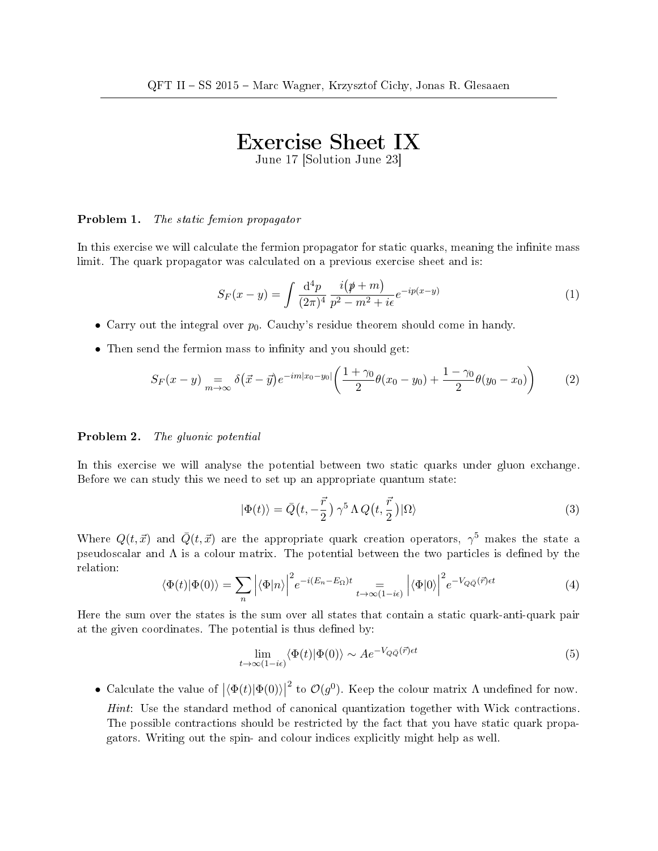## Exercise Sheet IX

June 17 [Solution June 23]

## Problem 1. The static femion propagator

In this exercise we will calculate the fermion propagator for static quarks, meaning the infinite mass limit. The quark propagator was calculated on a previous exercise sheet and is:

$$
S_F(x-y) = \int \frac{\mathrm{d}^4 p}{(2\pi)^4} \frac{i(p+m)}{p^2 - m^2 + i\epsilon} e^{-ip(x-y)} \tag{1}
$$

- Carry out the integral over  $p_0$ . Cauchy's residue theorem should come in handy.
- Then send the fermion mass to infinity and you should get:

$$
S_F(x-y) \underset{m \to \infty}{=} \delta(\vec{x} - \vec{y}) e^{-im|x_0 - y_0|} \left( \frac{1 + \gamma_0}{2} \theta(x_0 - y_0) + \frac{1 - \gamma_0}{2} \theta(y_0 - x_0) \right) \tag{2}
$$

## Problem 2. The gluonic potential

In this exercise we will analyse the potential between two static quarks under gluon exchange. Before we can study this we need to set up an appropriate quantum state:

$$
|\Phi(t)\rangle = \bar{Q}\left(t, -\frac{\vec{r}}{2}\right)\gamma^5 \Lambda Q\left(t, \frac{\vec{r}}{2}\right)|\Omega\rangle\tag{3}
$$

Where  $Q(t, \vec{x})$  and  $\bar{Q}(t, \vec{x})$  are the appropriate quark creation operators,  $\gamma^5$  makes the state a pseudoscalar and  $\Lambda$  is a colour matrix. The potential between the two particles is defined by the relation:

$$
\langle \Phi(t) | \Phi(0) \rangle = \sum_{n} \left| \langle \Phi | n \rangle \right|^2 e^{-i(E_n - E_{\Omega})t} = \sum_{t \to \infty (1 - i\epsilon)} \left| \langle \Phi | 0 \rangle \right|^2 e^{-V_{Q\bar{Q}}(\vec{r})\epsilon t}
$$
(4)

Here the sum over the states is the sum over all states that contain a static quark-anti-quark pair at the given coordinates. The potential is thus defined by:

$$
\lim_{t \to \infty} \langle \Phi(t) | \Phi(0) \rangle \sim A e^{-V_{Q\bar{Q}}(\vec{r}) \epsilon t} \tag{5}
$$

• Calculate the value of  $|\langle \Phi(t)|\Phi(0)\rangle|$ <sup>2</sup> to  $\mathcal{O}(g^0)$ . Keep the colour matrix  $\Lambda$  undefined for now. Hint: Use the standard method of canonical quantization together with Wick contractions. The possible contractions should be restricted by the fact that you have static quark propagators. Writing out the spin- and colour indices explicitly might help as well.